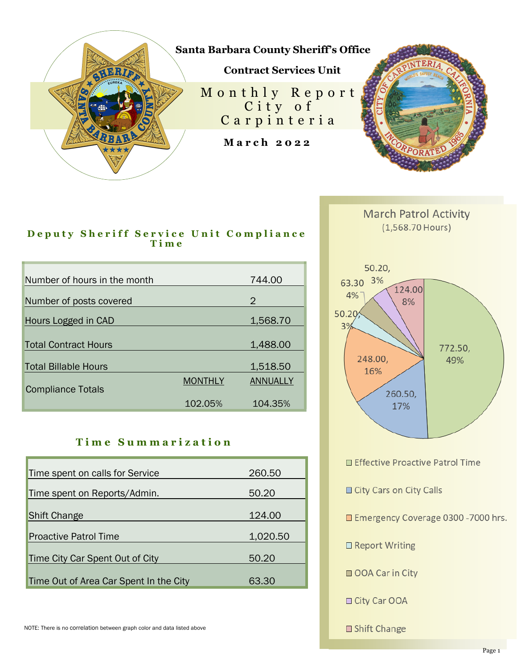

## **Deputy Sheriff Service Unit Compliance T i m e**

| Number of hours in the month |                | 744.00   |
|------------------------------|----------------|----------|
| Number of posts covered      |                | 2        |
| Hours Logged in CAD          |                | 1,568.70 |
|                              |                |          |
| <b>Total Contract Hours</b>  |                | 1,488.00 |
| <b>Total Billable Hours</b>  |                | 1,518.50 |
| <b>Compliance Totals</b>     | <b>MONTHLY</b> | ANNUALLY |
|                              | 102.05%        | 104.35%  |

## **T i m e S u m m a r i z a t i o n**

| Time spent on calls for Service        | 260.50   |
|----------------------------------------|----------|
| Time spent on Reports/Admin.           | 50.20    |
| <b>Shift Change</b>                    | 124.00   |
| <b>Proactive Patrol Time</b>           | 1,020.50 |
| Time City Car Spent Out of City        | 50.20    |
| Time Out of Area Car Spent In the City | 63.30    |



**March Patrol Activity**  $(1,568.70$  Hours)

□ Effective Proactive Patrol Time

City Cars on City Calls

Emergency Coverage 0300 -7000 hrs.

□ Report Writing

□ OOA Car in City

□ City Car OOA

□ Shift Change